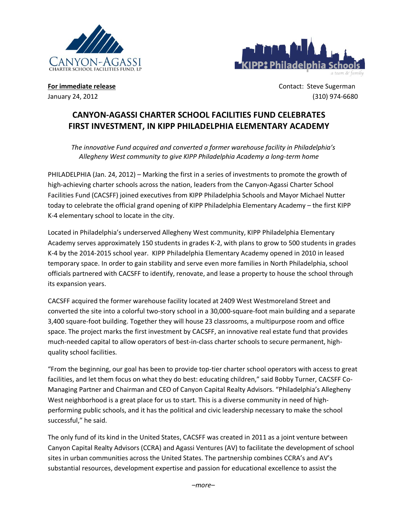



**For immediate release Contact: Steve Sugerman** January 24, 2012 (310) 974-6680

# **CANYON-AGASSI CHARTER SCHOOL FACILITIES FUND CELEBRATES FIRST INVESTMENT, IN KIPP PHILADELPHIA ELEMENTARY ACADEMY**

*The innovative Fund acquired and converted a former warehouse facility in Philadelphia's Allegheny West community to give KIPP Philadelphia Academy a long-term home*

PHILADELPHIA (Jan. 24, 2012) – Marking the first in a series of investments to promote the growth of high-achieving charter schools across the nation, leaders from the Canyon-Agassi Charter School Facilities Fund (CACSFF) joined executives from KIPP Philadelphia Schools and Mayor Michael Nutter today to celebrate the official grand opening of KIPP Philadelphia Elementary Academy – the first KIPP K-4 elementary school to locate in the city.

Located in Philadelphia's underserved Allegheny West community, KIPP Philadelphia Elementary Academy serves approximately 150 students in grades K-2, with plans to grow to 500 students in grades K-4 by the 2014-2015 school year. KIPP Philadelphia Elementary Academy opened in 2010 in leased temporary space. In order to gain stability and serve even more families in North Philadelphia, school officials partnered with CACSFF to identify, renovate, and lease a property to house the school through its expansion years.

CACSFF acquired the former warehouse facility located at 2409 West Westmoreland Street and converted the site into a colorful two-story school in a 30,000-square-foot main building and a separate 3,400 square-foot building. Together they will house 23 classrooms, a multipurpose room and office space. The project marks the first investment by CACSFF, an innovative real estate fund that provides much-needed capital to allow operators of best-in-class charter schools to secure permanent, highquality school facilities.

"From the beginning, our goal has been to provide top-tier charter school operators with access to great facilities, and let them focus on what they do best: educating children," said Bobby Turner, CACSFF Co-Managing Partner and Chairman and CEO of Canyon Capital Realty Advisors. "Philadelphia's Allegheny West neighborhood is a great place for us to start. This is a diverse community in need of highperforming public schools, and it has the political and civic leadership necessary to make the school successful," he said.

The only fund of its kind in the United States, CACSFF was created in 2011 as a joint venture between Canyon Capital Realty Advisors (CCRA) and Agassi Ventures (AV) to facilitate the development of school sites in urban communities across the United States. The partnership combines CCRA's and AV's substantial resources, development expertise and passion for educational excellence to assist the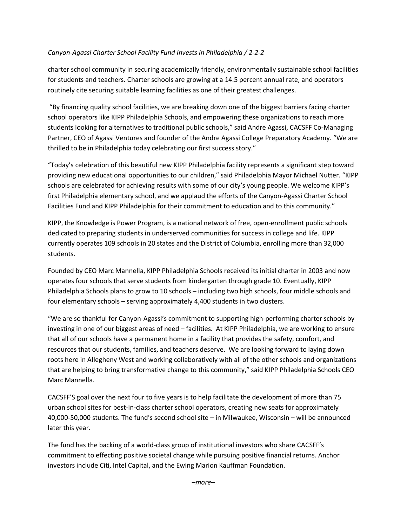## *Canyon-Agassi Charter School Facility Fund Invests in Philadelphia / 2-2-2*

charter school community in securing academically friendly, environmentally sustainable school facilities for students and teachers. Charter schools are growing at a 14.5 percent annual rate, and operators routinely cite securing suitable learning facilities as one of their greatest challenges.

"By financing quality school facilities, we are breaking down one of the biggest barriers facing charter school operators like KIPP Philadelphia Schools, and empowering these organizations to reach more students looking for alternatives to traditional public schools," said Andre Agassi, CACSFF Co-Managing Partner, CEO of Agassi Ventures and founder of the Andre Agassi College Preparatory Academy. "We are thrilled to be in Philadelphia today celebrating our first success story."

"Today's celebration of this beautiful new KIPP Philadelphia facility represents a significant step toward providing new educational opportunities to our children," said Philadelphia Mayor Michael Nutter. "KIPP schools are celebrated for achieving results with some of our city's young people. We welcome KIPP's first Philadelphia elementary school, and we applaud the efforts of the Canyon-Agassi Charter School Facilities Fund and KIPP Philadelphia for their commitment to education and to this community."

KIPP, the Knowledge is Power Program, is a national network of free, open-enrollment public schools dedicated to preparing students in underserved communities for success in college and life. KIPP currently operates 109 schools in 20 states and the District of Columbia, enrolling more than 32,000 students.

Founded by CEO Marc Mannella, KIPP Philadelphia Schools received its initial charter in 2003 and now operates four schools that serve students from kindergarten through grade 10. Eventually, KIPP Philadelphia Schools plans to grow to 10 schools – including two high schools, four middle schools and four elementary schools – serving approximately 4,400 students in two clusters.

"We are so thankful for Canyon-Agassi's commitment to supporting high-performing charter schools by investing in one of our biggest areas of need – facilities. At KIPP Philadelphia, we are working to ensure that all of our schools have a permanent home in a facility that provides the safety, comfort, and resources that our students, families, and teachers deserve. We are looking forward to laying down roots here in Allegheny West and working collaboratively with all of the other schools and organizations that are helping to bring transformative change to this community," said KIPP Philadelphia Schools CEO Marc Mannella.

CACSFF'S goal over the next four to five years is to help facilitate the development of more than 75 urban school sites for best-in-class charter school operators, creating new seats for approximately 40,000-50,000 students. The fund's second school site – in Milwaukee, Wisconsin – will be announced later this year.

The fund has the backing of a world-class group of institutional investors who share CACSFF's commitment to effecting positive societal change while pursuing positive financial returns. Anchor investors include Citi, Intel Capital, and the Ewing Marion Kauffman Foundation.